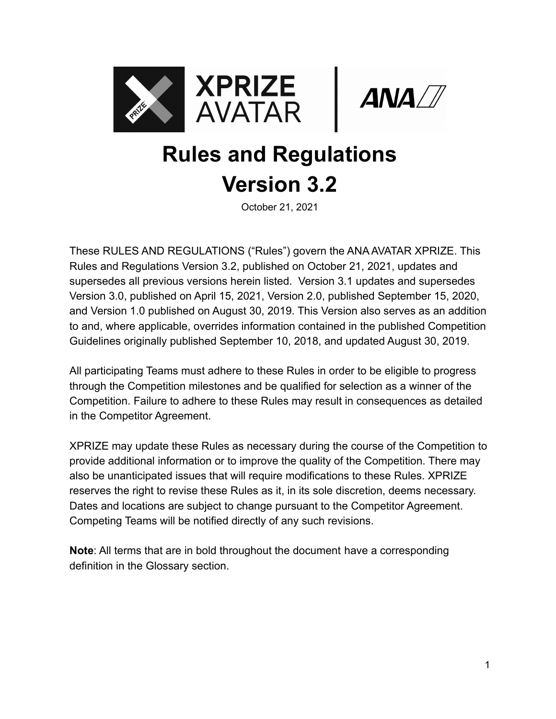



# **Rules and Regulations Version 3.2**

October 21, 2021

These RULES AND REGULATIONS ("Rules") govern the ANA AVATAR XPRIZE. This Rules and Regulations Version 3.2, published on October 21, 2021, updates and supersedes all previous versions herein listed. Version 3.1 updates and supersedes Version 3.0, published on April 15, 2021, Version 2.0, published September 15, 2020, and Version 1.0 published on August 30, 2019. This Version also serves as an addition to and, where applicable, overrides information contained in the published Competition Guidelines originally published September 10, 2018, and updated August 30, 2019.

All participating Teams must adhere to these Rules in order to be eligible to progress through the Competition milestones and be qualified for selection as a winner of the Competition. Failure to adhere to these Rules may result in consequences as detailed in the Competitor Agreement.

XPRIZE may update these Rules as necessary during the course of the Competition to provide additional information or to improve the quality of the Competition. There may also be unanticipated issues that will require modifications to these Rules. XPRIZE reserves the right to revise these Rules as it, in its sole discretion, deems necessary. Dates and locations are subject to change pursuant to the Competitor Agreement. Competing Teams will be notified directly of any such revisions.

**Note**: All terms that are in bold throughout the document have a corresponding definition in the Glossary section.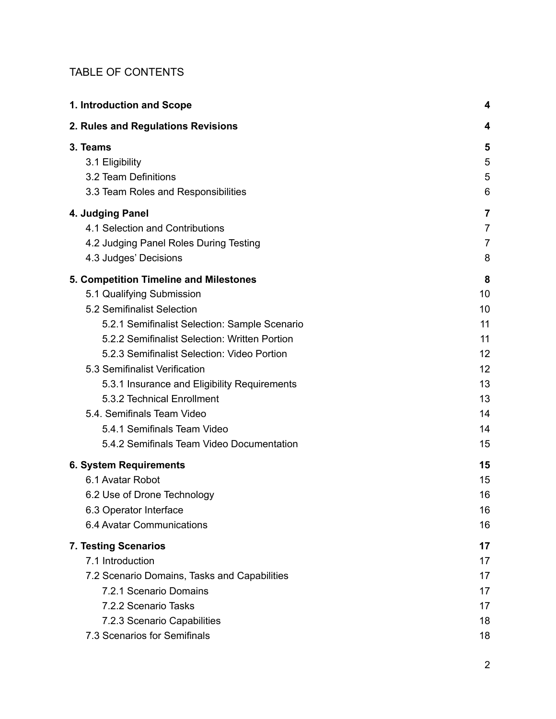#### TABLE OF CONTENTS

| 1. Introduction and Scope                     | 4              |
|-----------------------------------------------|----------------|
| 2. Rules and Regulations Revisions            | 4              |
| 3. Teams                                      | 5              |
| 3.1 Eligibility                               | 5              |
| 3.2 Team Definitions                          | 5              |
| 3.3 Team Roles and Responsibilities           | 6              |
| 4. Judging Panel                              | 7              |
| 4.1 Selection and Contributions               | $\overline{7}$ |
| 4.2 Judging Panel Roles During Testing        | $\overline{7}$ |
| 4.3 Judges' Decisions                         | 8              |
| 5. Competition Timeline and Milestones        | 8              |
| 5.1 Qualifying Submission                     | 10             |
| 5.2 Semifinalist Selection                    | 10             |
| 5.2.1 Semifinalist Selection: Sample Scenario | 11             |
| 5.2.2 Semifinalist Selection: Written Portion | 11             |
| 5.2.3 Semifinalist Selection: Video Portion   | 12             |
| 5.3 Semifinalist Verification                 | 12             |
| 5.3.1 Insurance and Eligibility Requirements  | 13             |
| 5.3.2 Technical Enrollment                    | 13             |
| 5.4. Semifinals Team Video                    | 14             |
| 5.4.1 Semifinals Team Video                   | 14             |
| 5.4.2 Semifinals Team Video Documentation     | 15             |
| <b>6. System Requirements</b>                 | 15             |
| 6.1 Avatar Robot                              | 15             |
| 6.2 Use of Drone Technology                   | 16             |
| 6.3 Operator Interface                        | 16             |
| 6.4 Avatar Communications                     | 16             |
| 7. Testing Scenarios                          | 17             |
| 7.1 Introduction                              | 17             |
| 7.2 Scenario Domains, Tasks and Capabilities  | 17             |
| 7.2.1 Scenario Domains                        | 17             |
| 7.2.2 Scenario Tasks                          | 17             |
| 7.2.3 Scenario Capabilities                   | 18             |
| 7.3 Scenarios for Semifinals                  | 18             |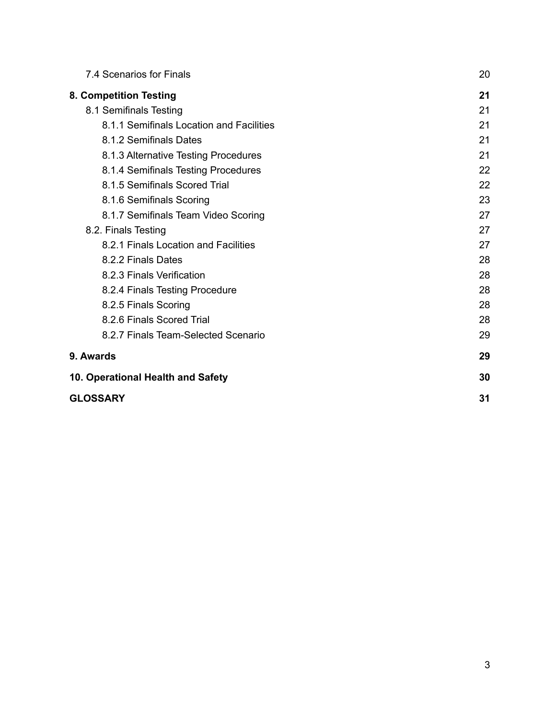| 7.4 Scenarios for Finals                 | 20 |
|------------------------------------------|----|
| 8. Competition Testing                   | 21 |
| 8.1 Semifinals Testing                   | 21 |
| 8.1.1 Semifinals Location and Facilities | 21 |
| 8.1.2 Semifinals Dates                   | 21 |
| 8.1.3 Alternative Testing Procedures     | 21 |
| 8.1.4 Semifinals Testing Procedures      | 22 |
| 8.1.5 Semifinals Scored Trial            | 22 |
| 8.1.6 Semifinals Scoring                 | 23 |
| 8.1.7 Semifinals Team Video Scoring      | 27 |
| 8.2. Finals Testing                      | 27 |
| 8.2.1 Finals Location and Facilities     | 27 |
| 8.2.2 Finals Dates                       | 28 |
| 8.2.3 Finals Verification                | 28 |
| 8.2.4 Finals Testing Procedure           | 28 |
| 8.2.5 Finals Scoring                     | 28 |
| 8.2.6 Finals Scored Trial                | 28 |
| 8.2.7 Finals Team-Selected Scenario      | 29 |
| 9. Awards                                | 29 |
| 10. Operational Health and Safety        | 30 |
| <b>GLOSSARY</b>                          | 31 |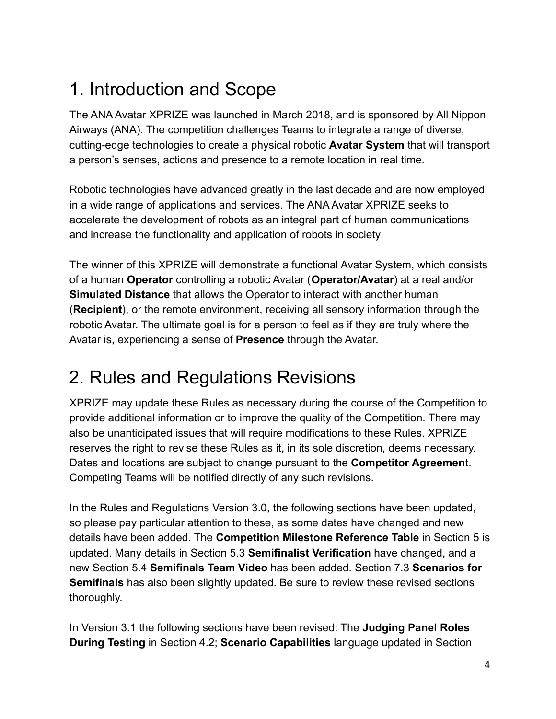# <span id="page-3-0"></span>1. Introduction and Scope

The ANA Avatar XPRIZE was launched in March 2018, and is sponsored by All Nippon Airways (ANA). The competition challenges Teams to integrate a range of diverse, cutting-edge technologies to create a physical robotic **Avatar System** that will transport a person's senses, actions and presence to a remote location in real time.

Robotic technologies have advanced greatly in the last decade and are now employed in a wide range of applications and services. The ANA Avatar XPRIZE seeks to accelerate the development of robots as an integral part of human communications and increase the functionality and application of robots in society.

The winner of this XPRIZE will demonstrate a functional Avatar System, which consists of a human **Operator** controlling a robotic Avatar (**Operator/Avatar**) at a real and/or **Simulated Distance** that allows the Operator to interact with another human (**Recipient**), or the remote environment, receiving all sensory information through the robotic Avatar. The ultimate goal is for a person to feel as if they are truly where the Avatar is, experiencing a sense of **Presence** through the Avatar.

# <span id="page-3-1"></span>2. Rules and Regulations Revisions

XPRIZE may update these Rules as necessary during the course of the Competition to provide additional information or to improve the quality of the Competition. There may also be unanticipated issues that will require modifications to these Rules. XPRIZE reserves the right to revise these Rules as it, in its sole discretion, deems necessary. Dates and locations are subject to change pursuant to the **Competitor Agreemen**t. Competing Teams will be notified directly of any such revisions.

In the Rules and Regulations Version 3.0, the following sections have been updated, so please pay particular attention to these, as some dates have changed and new details have been added. The **Competition Milestone Reference Table** in Section 5 is updated. Many details in Section 5.3 **Semifinalist Verification** have changed, and a new Section 5.4 **Semifinals Team Video** has been added. Section 7.3 **Scenarios for Semifinals** has also been slightly updated. Be sure to review these revised sections thoroughly.

In Version 3.1 the following sections have been revised: The **Judging Panel Roles During Testing** in Section 4.2; **Scenario Capabilities** language updated in Section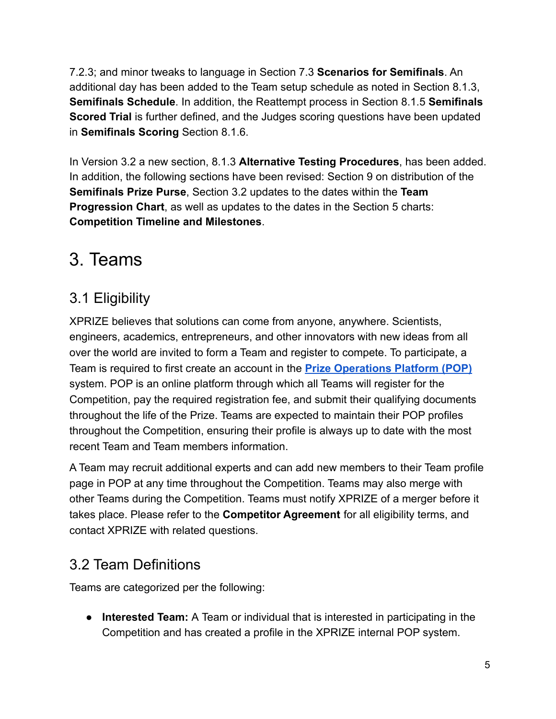7.2.3; and minor tweaks to language in Section 7.3 **Scenarios for Semifinals**. An additional day has been added to the Team setup schedule as noted in Section 8.1.3, **Semifinals Schedule**. In addition, the Reattempt process in Section 8.1.5 **Semifinals Scored Trial** is further defined, and the Judges scoring questions have been updated in **Semifinals Scoring** Section 8.1.6.

In Version 3.2 a new section, 8.1.3 **[Alternative Testing](#page-20-4) Procedures**, has been added. In addition, the following sections have been revised: Section 9 on distribution of the **Semifinals Prize Purse**, Section 3.2 updates to the dates within the **Team Progression Chart**, as well as updates to the dates in the Section 5 charts: **Competition Timeline and Milestones**.

# <span id="page-4-0"></span>3. Teams

## <span id="page-4-1"></span>3.1 Eligibility

XPRIZE believes that solutions can come from anyone, anywhere. Scientists, engineers, academics, entrepreneurs, and other innovators with new ideas from all over the world are invited to form a Team and register to compete. To participate, a Team is required to first create an account in the **[Prize Operations Platform \(POP\)](https://pop.xprize.org)** system. POP is an online platform through which all Teams will register for the Competition, pay the required registration fee, and submit their qualifying documents throughout the life of the Prize. Teams are expected to maintain their POP profiles throughout the Competition, ensuring their profile is always up to date with the most recent Team and Team members information.

A Team may recruit additional experts and can add new members to their Team profile page in POP at any time throughout the Competition. Teams may also merge with other Teams during the Competition. Teams must notify XPRIZE of a merger before it takes place. Please refer to the **Competitor Agreement** for all eligibility terms, and contact XPRIZE with related questions.

## <span id="page-4-2"></span>3.2 Team Definitions

Teams are categorized per the following:

● **Interested Team:** A Team or individual that is interested in participating in the Competition and has created a profile in the XPRIZE internal POP system.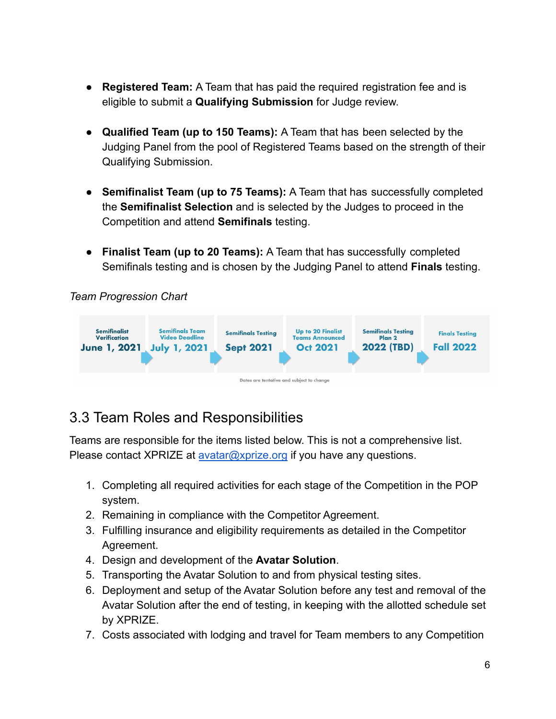- **Registered Team:** A Team that has paid the required registration fee and is eligible to submit a **Qualifying Submission** for Judge review.
- **Qualified Team (up to 150 Teams):** A Team that has been selected by the Judging Panel from the pool of Registered Teams based on the strength of their Qualifying Submission.
- **Semifinalist Team (up to 75 Teams):** A Team that has successfully completed the **Semifinalist Selection** and is selected by the Judges to proceed in the Competition and attend **Semifinals** testing.
- **Finalist Team (up to 20 Teams):** A Team that has successfully completed Semifinals testing and is chosen by the Judging Panel to attend **Finals** testing.

*Team Progression Chart*



## <span id="page-5-0"></span>3.3 Team Roles and Responsibilities

Teams are responsible for the items listed below. This is not a comprehensive list. Please contact XPRIZE at [avatar@xprize.org](mailto:avatar@xprize.org) if you have any questions.

- 1. Completing all required activities for each stage of the Competition in the POP system.
- 2. Remaining in compliance with the Competitor Agreement.
- 3. Fulfilling insurance and eligibility requirements as detailed in the Competitor Agreement.
- 4. Design and development of the **Avatar Solution**.
- 5. Transporting the Avatar Solution to and from physical testing sites.
- 6. Deployment and setup of the Avatar Solution before any test and removal of the Avatar Solution after the end of testing, in keeping with the allotted schedule set by XPRIZE.
- 7. Costs associated with lodging and travel for Team members to any Competition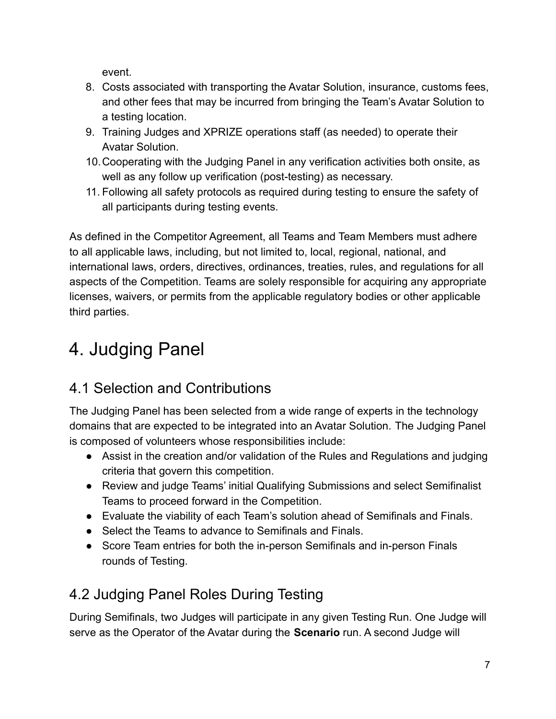event.

- 8. Costs associated with transporting the Avatar Solution, insurance, customs fees, and other fees that may be incurred from bringing the Team's Avatar Solution to a testing location.
- 9. Training Judges and XPRIZE operations staff (as needed) to operate their Avatar Solution.
- 10.Cooperating with the Judging Panel in any verification activities both onsite, as well as any follow up verification (post-testing) as necessary.
- 11. Following all safety protocols as required during testing to ensure the safety of all participants during testing events.

As defined in the Competitor Agreement, all Teams and Team Members must adhere to all applicable laws, including, but not limited to, local, regional, national, and international laws, orders, directives, ordinances, treaties, rules, and regulations for all aspects of the Competition. Teams are solely responsible for acquiring any appropriate licenses, waivers, or permits from the applicable regulatory bodies or other applicable third parties.

# <span id="page-6-0"></span>4. Judging Panel

## <span id="page-6-1"></span>4.1 Selection and Contributions

The Judging Panel has been selected from a wide range of experts in the technology domains that are expected to be integrated into an Avatar Solution. The Judging Panel is composed of volunteers whose responsibilities include:

- Assist in the creation and/or validation of the Rules and Regulations and judging criteria that govern this competition.
- Review and judge Teams' initial Qualifying Submissions and select Semifinalist Teams to proceed forward in the Competition.
- Evaluate the viability of each Team's solution ahead of Semifinals and Finals.
- Select the Teams to advance to Semifinals and Finals.
- Score Team entries for both the in-person Semifinals and in-person Finals rounds of Testing.

# <span id="page-6-2"></span>4.2 Judging Panel Roles During Testing

During Semifinals, two Judges will participate in any given Testing Run. One Judge will serve as the Operator of the Avatar during the **Scenario** run. A second Judge will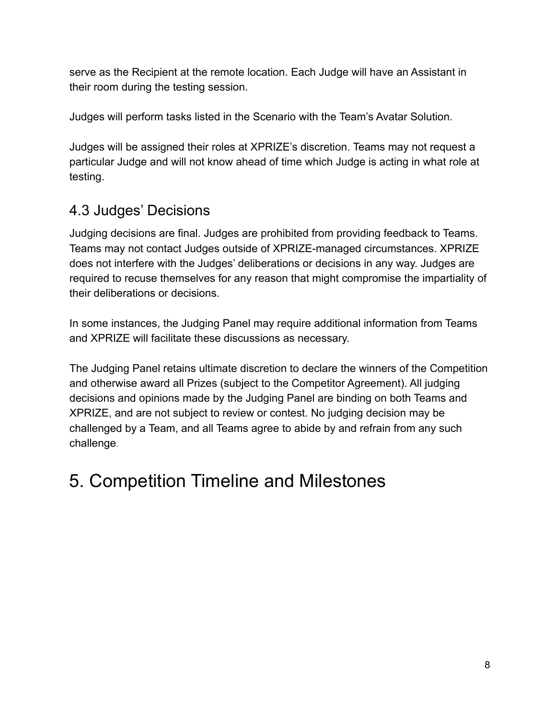serve as the Recipient at the remote location. Each Judge will have an Assistant in their room during the testing session.

Judges will perform tasks listed in the Scenario with the Team's Avatar Solution.

Judges will be assigned their roles at XPRIZE's discretion. Teams may not request a particular Judge and will not know ahead of time which Judge is acting in what role at testing.

## <span id="page-7-0"></span>4.3 Judges' Decisions

Judging decisions are final. Judges are prohibited from providing feedback to Teams. Teams may not contact Judges outside of XPRIZE-managed circumstances. XPRIZE does not interfere with the Judges' deliberations or decisions in any way. Judges are required to recuse themselves for any reason that might compromise the impartiality of their deliberations or decisions.

In some instances, the Judging Panel may require additional information from Teams and XPRIZE will facilitate these discussions as necessary.

The Judging Panel retains ultimate discretion to declare the winners of the Competition and otherwise award all Prizes (subject to the Competitor Agreement). All judging decisions and opinions made by the Judging Panel are binding on both Teams and XPRIZE, and are not subject to review or contest. No judging decision may be challenged by a Team, and all Teams agree to abide by and refrain from any such challenge.

# <span id="page-7-1"></span>5. Competition Timeline and Milestones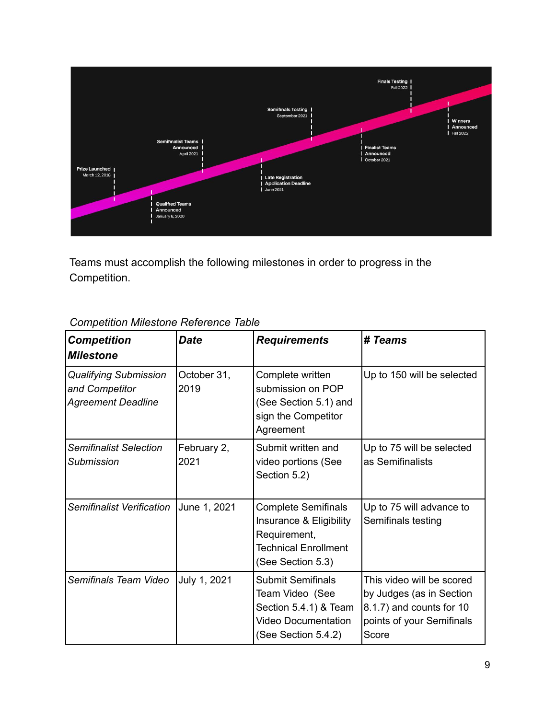

Teams must accomplish the following milestones in order to progress in the Competition.

| <b>Competition</b><br><b>Milestone</b>                                      | <b>Date</b>         | <b>Requirements</b>                                                                                                       | # Teams                                                                                                                 |
|-----------------------------------------------------------------------------|---------------------|---------------------------------------------------------------------------------------------------------------------------|-------------------------------------------------------------------------------------------------------------------------|
| <b>Qualifying Submission</b><br>and Competitor<br><b>Agreement Deadline</b> | October 31,<br>2019 | Complete written<br>submission on POP<br>(See Section 5.1) and<br>sign the Competitor<br>Agreement                        | Up to 150 will be selected                                                                                              |
| <b>Semifinalist Selection</b><br><b>Submission</b>                          | February 2,<br>2021 | Submit written and<br>video portions (See<br>Section 5.2)                                                                 | Up to 75 will be selected<br>as Semifinalists                                                                           |
| Semifinalist Verification                                                   | June 1, 2021        | <b>Complete Semifinals</b><br>Insurance & Eligibility<br>Requirement,<br><b>Technical Enrollment</b><br>(See Section 5.3) | Up to 75 will advance to<br>Semifinals testing                                                                          |
| Semifinals Team Video                                                       | July 1, 2021        | <b>Submit Semifinals</b><br>Team Video (See<br>Section 5.4.1) & Team<br><b>Video Documentation</b><br>(See Section 5.4.2) | This video will be scored<br>by Judges (as in Section<br>8.1.7) and counts for 10<br>points of your Semifinals<br>Score |

### *Competition Milestone Reference Table*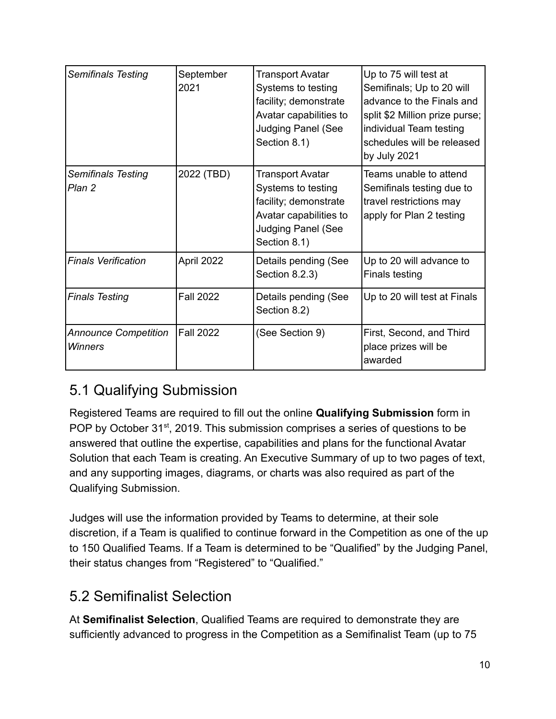| <b>Semifinals Testing</b>              | September<br>2021 | Transport Avatar<br>Systems to testing<br>facility; demonstrate<br>Avatar capabilities to<br><b>Judging Panel (See</b><br>Section 8.1)        | Up to 75 will test at<br>Semifinals; Up to 20 will<br>advance to the Finals and<br>split \$2 Million prize purse;<br>individual Team testing<br>schedules will be released<br>by July 2021 |
|----------------------------------------|-------------------|-----------------------------------------------------------------------------------------------------------------------------------------------|--------------------------------------------------------------------------------------------------------------------------------------------------------------------------------------------|
| <b>Semifinals Testing</b><br>Plan 2    | 2022 (TBD)        | <b>Transport Avatar</b><br>Systems to testing<br>facility; demonstrate<br>Avatar capabilities to<br><b>Judging Panel (See</b><br>Section 8.1) | Teams unable to attend<br>Semifinals testing due to<br>travel restrictions may<br>apply for Plan 2 testing                                                                                 |
| <b>Finals Verification</b>             | April 2022        | Details pending (See<br>Section 8.2.3)                                                                                                        | Up to 20 will advance to<br>Finals testing                                                                                                                                                 |
| <b>Finals Testing</b>                  | <b>Fall 2022</b>  | Details pending (See<br>Section 8.2)                                                                                                          | Up to 20 will test at Finals                                                                                                                                                               |
| <b>Announce Competition</b><br>Winners | <b>Fall 2022</b>  | (See Section 9)                                                                                                                               | First, Second, and Third<br>place prizes will be<br>awarded                                                                                                                                |

## <span id="page-9-0"></span>5.1 Qualifying Submission

Registered Teams are required to fill out the online **Qualifying Submission** form in POP by October 31<sup>st</sup>, 2019. This submission comprises a series of questions to be answered that outline the expertise, capabilities and plans for the functional Avatar Solution that each Team is creating. An Executive Summary of up to two pages of text, and any supporting images, diagrams, or charts was also required as part of the Qualifying Submission.

Judges will use the information provided by Teams to determine, at their sole discretion, if a Team is qualified to continue forward in the Competition as one of the up to 150 Qualified Teams. If a Team is determined to be "Qualified" by the Judging Panel, their status changes from "Registered" to "Qualified."

## <span id="page-9-1"></span>5.2 Semifinalist Selection

At **Semifinalist Selection**, Qualified Teams are required to demonstrate they are sufficiently advanced to progress in the Competition as a Semifinalist Team (up to 75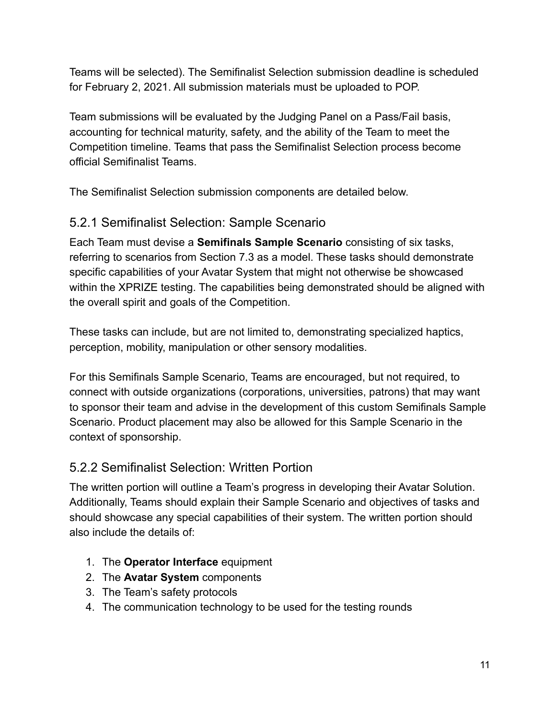Teams will be selected). The Semifinalist Selection submission deadline is scheduled for February 2, 2021. All submission materials must be uploaded to POP.

Team submissions will be evaluated by the Judging Panel on a Pass/Fail basis, accounting for technical maturity, safety, and the ability of the Team to meet the Competition timeline. Teams that pass the Semifinalist Selection process become official Semifinalist Teams.

The Semifinalist Selection submission components are detailed below.

### <span id="page-10-0"></span>5.2.1 Semifinalist Selection: Sample Scenario

Each Team must devise a **Semifinals Sample Scenario** consisting of six tasks, referring to scenarios from Section 7.3 as a model. These tasks should demonstrate specific capabilities of your Avatar System that might not otherwise be showcased within the XPRIZE testing. The capabilities being demonstrated should be aligned with the overall spirit and goals of the Competition.

These tasks can include, but are not limited to, demonstrating specialized haptics, perception, mobility, manipulation or other sensory modalities.

For this Semifinals Sample Scenario, Teams are encouraged, but not required, to connect with outside organizations (corporations, universities, patrons) that may want to sponsor their team and advise in the development of this custom Semifinals Sample Scenario. Product placement may also be allowed for this Sample Scenario in the context of sponsorship.

### <span id="page-10-1"></span>5.2.2 Semifinalist Selection: Written Portion

The written portion will outline a Team's progress in developing their Avatar Solution. Additionally, Teams should explain their Sample Scenario and objectives of tasks and should showcase any special capabilities of their system. The written portion should also include the details of:

- 1. The **Operator Interface** equipment
- 2. The **Avatar System** components
- 3. The Team's safety protocols
- 4. The communication technology to be used for the testing rounds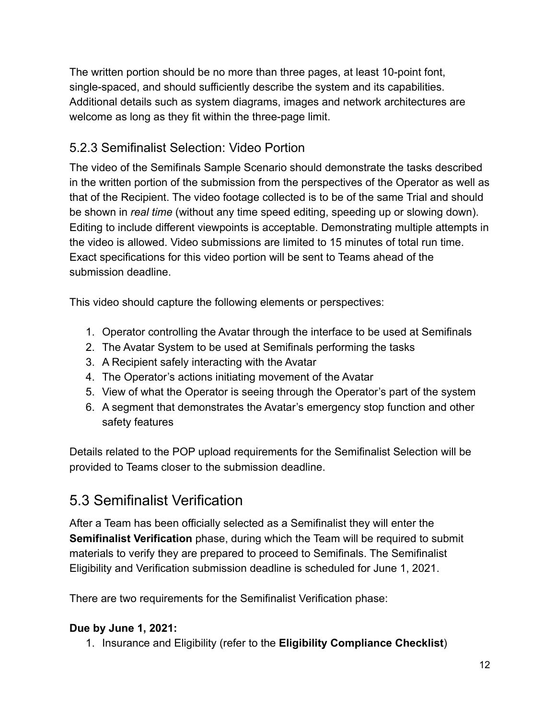The written portion should be no more than three pages, at least 10-point font, single-spaced, and should sufficiently describe the system and its capabilities. Additional details such as system diagrams, images and network architectures are welcome as long as they fit within the three-page limit.

#### <span id="page-11-0"></span>5.2.3 Semifinalist Selection: Video Portion

The video of the Semifinals Sample Scenario should demonstrate the tasks described in the written portion of the submission from the perspectives of the Operator as well as that of the Recipient. The video footage collected is to be of the same Trial and should be shown in *real time* (without any time speed editing, speeding up or slowing down). Editing to include different viewpoints is acceptable. Demonstrating multiple attempts in the video is allowed. Video submissions are limited to 15 minutes of total run time. Exact specifications for this video portion will be sent to Teams ahead of the submission deadline.

This video should capture the following elements or perspectives:

- 1. Operator controlling the Avatar through the interface to be used at Semifinals
- 2. The Avatar System to be used at Semifinals performing the tasks
- 3. A Recipient safely interacting with the Avatar
- 4. The Operator's actions initiating movement of the Avatar
- 5. View of what the Operator is seeing through the Operator's part of the system
- 6. A segment that demonstrates the Avatar's emergency stop function and other safety features

Details related to the POP upload requirements for the Semifinalist Selection will be provided to Teams closer to the submission deadline.

## <span id="page-11-1"></span>5.3 Semifinalist Verification

After a Team has been officially selected as a Semifinalist they will enter the **Semifinalist Verification** phase, during which the Team will be required to submit materials to verify they are prepared to proceed to Semifinals. The Semifinalist Eligibility and Verification submission deadline is scheduled for June 1, 2021.

There are two requirements for the Semifinalist Verification phase:

#### **Due by June 1, 2021:**

1. Insurance and Eligibility (refer to the **Eligibility Compliance Checklist**)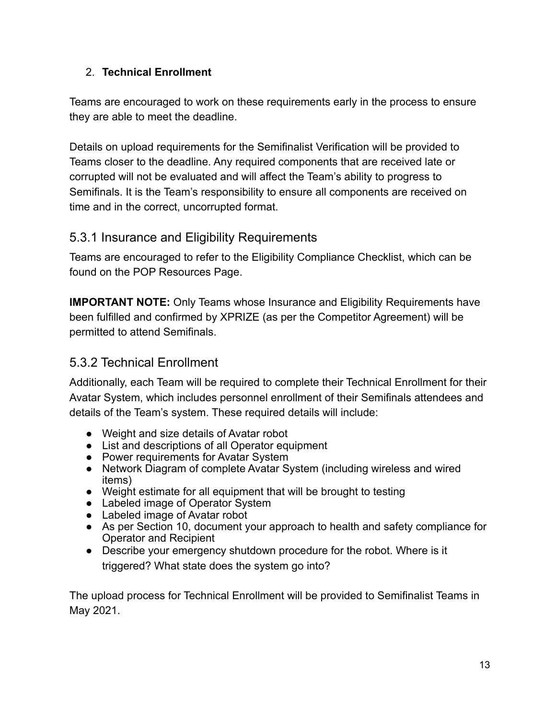#### 2. **Technical Enrollment**

Teams are encouraged to work on these requirements early in the process to ensure they are able to meet the deadline.

Details on upload requirements for the Semifinalist Verification will be provided to Teams closer to the deadline. Any required components that are received late or corrupted will not be evaluated and will affect the Team's ability to progress to Semifinals. It is the Team's responsibility to ensure all components are received on time and in the correct, uncorrupted format.

#### <span id="page-12-0"></span>5.3.1 Insurance and Eligibility Requirements

Teams are encouraged to refer to the Eligibility Compliance Checklist, which can be found on the POP Resources Page.

**IMPORTANT NOTE:** Only Teams whose Insurance and Eligibility Requirements have been fulfilled and confirmed by XPRIZE (as per the Competitor Agreement) will be permitted to attend Semifinals.

### <span id="page-12-1"></span>5.3.2 Technical Enrollment

Additionally, each Team will be required to complete their Technical Enrollment for their Avatar System, which includes personnel enrollment of their Semifinals attendees and details of the Team's system. These required details will include:

- Weight and size details of Avatar robot
- List and descriptions of all Operator equipment
- Power requirements for Avatar System
- Network Diagram of complete Avatar System (including wireless and wired items)
- Weight estimate for all equipment that will be brought to testing
- Labeled image of Operator System
- Labeled image of Avatar robot
- As per Section 10, document your approach to health and safety compliance for Operator and Recipient
- Describe your emergency shutdown procedure for the robot. Where is it triggered? What state does the system go into?

The upload process for Technical Enrollment will be provided to Semifinalist Teams in May 2021.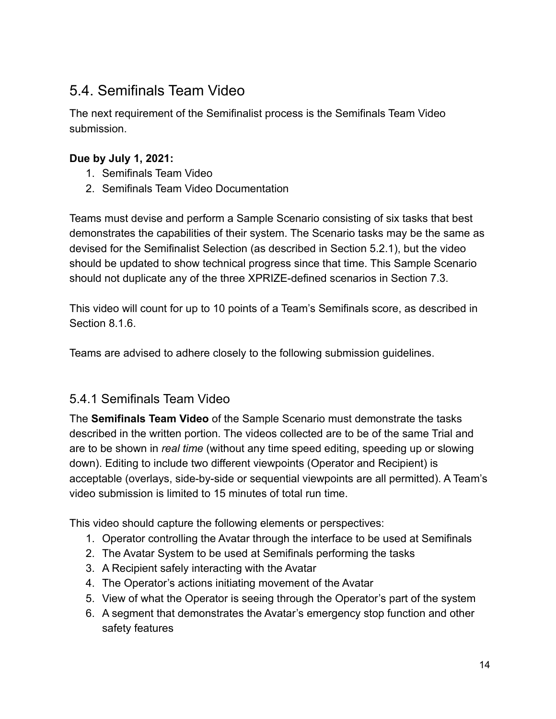## <span id="page-13-0"></span>5.4. Semifinals Team Video

The next requirement of the Semifinalist process is the Semifinals Team Video submission.

#### **Due by July 1, 2021:**

- 1. Semifinals Team Video
- 2. Semifinals Team Video Documentation

Teams must devise and perform a Sample Scenario consisting of six tasks that best demonstrates the capabilities of their system. The Scenario tasks may be the same as devised for the Semifinalist Selection (as described in Section 5.2.1), but the video should be updated to show technical progress since that time. This Sample Scenario should not duplicate any of the three XPRIZE-defined scenarios in Section 7.3.

This video will count for up to 10 points of a Team's Semifinals score, as described in Section 8.1.6

Teams are advised to adhere closely to the following submission guidelines.

#### <span id="page-13-1"></span>5.4.1 Semifinals Team Video

The **Semifinals Team Video** of the Sample Scenario must demonstrate the tasks described in the written portion. The videos collected are to be of the same Trial and are to be shown in *real time* (without any time speed editing, speeding up or slowing down). Editing to include two different viewpoints (Operator and Recipient) is acceptable (overlays, side-by-side or sequential viewpoints are all permitted). A Team's video submission is limited to 15 minutes of total run time.

This video should capture the following elements or perspectives:

- 1. Operator controlling the Avatar through the interface to be used at Semifinals
- 2. The Avatar System to be used at Semifinals performing the tasks
- 3. A Recipient safely interacting with the Avatar
- 4. The Operator's actions initiating movement of the Avatar
- 5. View of what the Operator is seeing through the Operator's part of the system
- 6. A segment that demonstrates the Avatar's emergency stop function and other safety features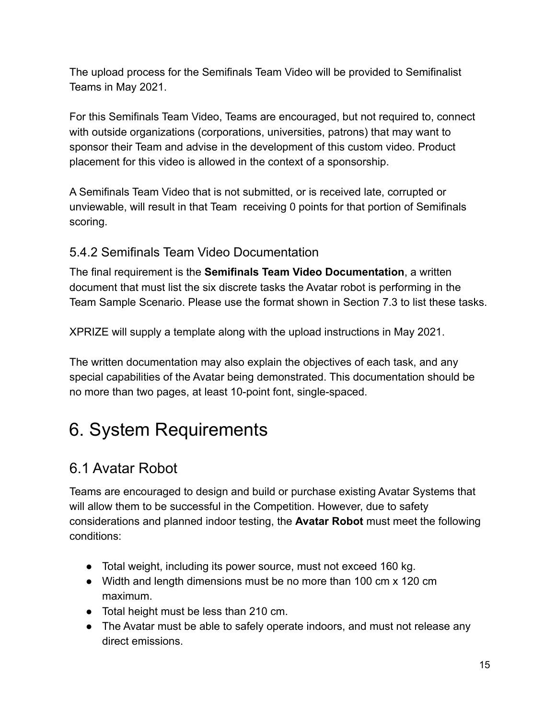The upload process for the Semifinals Team Video will be provided to Semifinalist Teams in May 2021.

For this Semifinals Team Video, Teams are encouraged, but not required to, connect with outside organizations (corporations, universities, patrons) that may want to sponsor their Team and advise in the development of this custom video. Product placement for this video is allowed in the context of a sponsorship.

A Semifinals Team Video that is not submitted, or is received late, corrupted or unviewable, will result in that Team receiving 0 points for that portion of Semifinals scoring.

#### <span id="page-14-0"></span>5.4.2 Semifinals Team Video Documentation

The final requirement is the **Semifinals Team Video Documentation**, a written document that must list the six discrete tasks the Avatar robot is performing in the Team Sample Scenario. Please use the format shown in Section 7.3 to list these tasks.

XPRIZE will supply a template along with the upload instructions in May 2021.

The written documentation may also explain the objectives of each task, and any special capabilities of the Avatar being demonstrated. This documentation should be no more than two pages, at least 10-point font, single-spaced.

# <span id="page-14-1"></span>6. System Requirements

## <span id="page-14-2"></span>6.1 Avatar Robot

Teams are encouraged to design and build or purchase existing Avatar Systems that will allow them to be successful in the Competition. However, due to safety considerations and planned indoor testing, the **Avatar Robot** must meet the following conditions:

- Total weight, including its power source, must not exceed 160 kg.
- Width and length dimensions must be no more than 100 cm x 120 cm maximum.
- Total height must be less than 210 cm.
- The Avatar must be able to safely operate indoors, and must not release any direct emissions.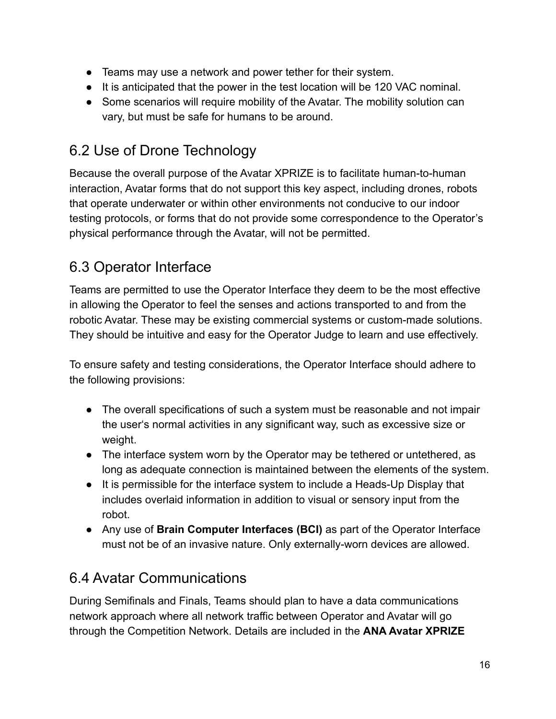- Teams may use a network and power tether for their system.
- It is anticipated that the power in the test location will be 120 VAC nominal.
- Some scenarios will require mobility of the Avatar. The mobility solution can vary, but must be safe for humans to be around.

## <span id="page-15-0"></span>6.2 Use of Drone Technology

Because the overall purpose of the Avatar XPRIZE is to facilitate human-to-human interaction, Avatar forms that do not support this key aspect, including drones, robots that operate underwater or within other environments not conducive to our indoor testing protocols, or forms that do not provide some correspondence to the Operator's physical performance through the Avatar, will not be permitted.

## <span id="page-15-1"></span>6.3 Operator Interface

Teams are permitted to use the Operator Interface they deem to be the most effective in allowing the Operator to feel the senses and actions transported to and from the robotic Avatar. These may be existing commercial systems or custom-made solutions. They should be intuitive and easy for the Operator Judge to learn and use effectively.

To ensure safety and testing considerations, the Operator Interface should adhere to the following provisions:

- The overall specifications of such a system must be reasonable and not impair the user's normal activities in any significant way, such as excessive size or weight.
- The interface system worn by the Operator may be tethered or untethered, as long as adequate connection is maintained between the elements of the system.
- It is permissible for the interface system to include a Heads-Up Display that includes overlaid information in addition to visual or sensory input from the robot.
- Any use of **Brain Computer Interfaces (BCI)** as part of the Operator Interface must not be of an invasive nature. Only externally-worn devices are allowed.

## <span id="page-15-2"></span>6.4 Avatar Communications

During Semifinals and Finals, Teams should plan to have a data communications network approach where all network traffic between Operator and Avatar will go through the Competition Network. Details are included in the **ANA Avatar XPRIZE**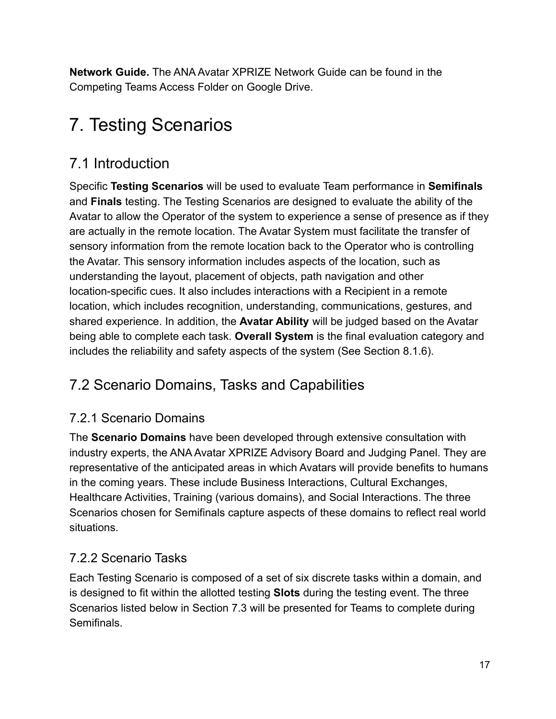**Network Guide.** The ANA Avatar XPRIZE Network Guide can be found in the Competing Teams Access Folder on Google Drive.

# <span id="page-16-0"></span>7. Testing Scenarios

## <span id="page-16-1"></span>7.1 Introduction

Specific **Testing Scenarios** will be used to evaluate Team performance in **Semifinals** and **Finals** testing. The Testing Scenarios are designed to evaluate the ability of the Avatar to allow the Operator of the system to experience a sense of presence as if they are actually in the remote location. The Avatar System must facilitate the transfer of sensory information from the remote location back to the Operator who is controlling the Avatar. This sensory information includes aspects of the location, such as understanding the layout, placement of objects, path navigation and other location-specific cues. It also includes interactions with a Recipient in a remote location, which includes recognition, understanding, communications, gestures, and shared experience. In addition, the **Avatar Ability** will be judged based on the Avatar being able to complete each task. **Overall System** is the final evaluation category and includes the reliability and safety aspects of the system (See Section 8.1.6).

## <span id="page-16-2"></span>7.2 Scenario Domains, Tasks and Capabilities

### <span id="page-16-3"></span>7.2.1 Scenario Domains

The **Scenario Domains** have been developed through extensive consultation with industry experts, the ANA Avatar XPRIZE Advisory Board and Judging Panel. They are representative of the anticipated areas in which Avatars will provide benefits to humans in the coming years. These include Business Interactions, Cultural Exchanges, Healthcare Activities, Training (various domains), and Social Interactions. The three Scenarios chosen for Semifinals capture aspects of these domains to reflect real world situations.

### <span id="page-16-4"></span>7.2.2 Scenario Tasks

Each Testing Scenario is composed of a set of six discrete tasks within a domain, and is designed to fit within the allotted testing **Slots** during the testing event. The three Scenarios listed below in Section 7.3 will be presented for Teams to complete during **Semifinals**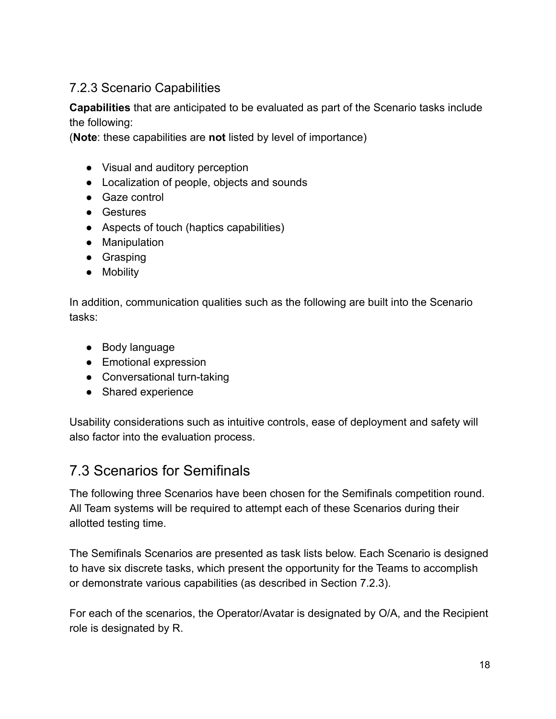#### <span id="page-17-0"></span>7.2.3 Scenario Capabilities

**Capabilities** that are anticipated to be evaluated as part of the Scenario tasks include the following:

(**Note**: these capabilities are **not** listed by level of importance)

- Visual and auditory perception
- Localization of people, objects and sounds
- Gaze control
- Gestures
- Aspects of touch (haptics capabilities)
- Manipulation
- Grasping
- Mobility

In addition, communication qualities such as the following are built into the Scenario tasks:

- Body language
- Emotional expression
- Conversational turn-taking
- Shared experience

Usability considerations such as intuitive controls, ease of deployment and safety will also factor into the evaluation process.

### <span id="page-17-1"></span>7.3 Scenarios for Semifinals

The following three Scenarios have been chosen for the Semifinals competition round. All Team systems will be required to attempt each of these Scenarios during their allotted testing time.

The Semifinals Scenarios are presented as task lists below. Each Scenario is designed to have six discrete tasks, which present the opportunity for the Teams to accomplish or demonstrate various capabilities (as described in Section 7.2.3).

For each of the scenarios, the Operator/Avatar is designated by O/A, and the Recipient role is designated by R.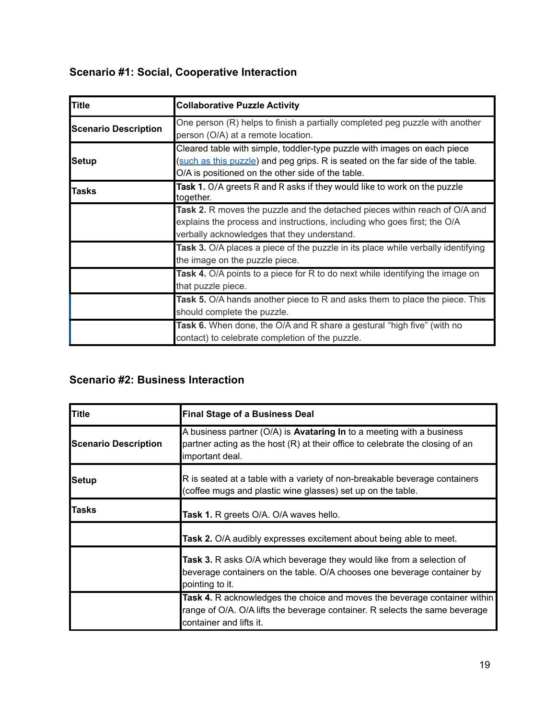## **Scenario #1: Social, Cooperative Interaction**

| <b>Title</b>                | <b>Collaborative Puzzle Activity</b>                                                                                                                                                                            |  |  |  |
|-----------------------------|-----------------------------------------------------------------------------------------------------------------------------------------------------------------------------------------------------------------|--|--|--|
| <b>Scenario Description</b> | One person (R) helps to finish a partially completed peg puzzle with another<br>person (O/A) at a remote location.                                                                                              |  |  |  |
| Setup                       | Cleared table with simple, toddler-type puzzle with images on each piece<br>(such as this puzzle) and peg grips. R is seated on the far side of the table.<br>O/A is positioned on the other side of the table. |  |  |  |
| <b>Tasks</b>                | Task 1. O/A greets R and R asks if they would like to work on the puzzle<br>together.                                                                                                                           |  |  |  |
|                             | Task 2. R moves the puzzle and the detached pieces within reach of O/A and<br>explains the process and instructions, including who goes first; the O/A<br>verbally acknowledges that they understand.           |  |  |  |
|                             | <b>Task 3.</b> O/A places a piece of the puzzle in its place while verbally identifying<br>the image on the puzzle piece.                                                                                       |  |  |  |
|                             | Task 4. O/A points to a piece for R to do next while identifying the image on<br>that puzzle piece.                                                                                                             |  |  |  |
|                             | Task 5. O/A hands another piece to R and asks them to place the piece. This<br>should complete the puzzle.                                                                                                      |  |  |  |
|                             | Task 6. When done, the O/A and R share a gestural "high five" (with no<br>contact) to celebrate completion of the puzzle.                                                                                       |  |  |  |

#### **Scenario #2: Business Interaction**

| <b>Title</b>                | <b>Final Stage of a Business Deal</b>                                                                                                                                               |  |  |
|-----------------------------|-------------------------------------------------------------------------------------------------------------------------------------------------------------------------------------|--|--|
| <b>Scenario Description</b> | A business partner (O/A) is <b>Avataring In</b> to a meeting with a business<br>partner acting as the host (R) at their office to celebrate the closing of an<br>important deal.    |  |  |
| <b>Setup</b>                | R is seated at a table with a variety of non-breakable beverage containers<br>(coffee mugs and plastic wine glasses) set up on the table.                                           |  |  |
| Tasks                       | <b>Task 1.</b> R greets O/A. O/A waves hello.                                                                                                                                       |  |  |
|                             | Task 2. O/A audibly expresses excitement about being able to meet.                                                                                                                  |  |  |
|                             | Task 3. R asks O/A which beverage they would like from a selection of<br>beverage containers on the table. O/A chooses one beverage container by<br>pointing to it.                 |  |  |
|                             | Task 4. R acknowledges the choice and moves the beverage container within<br>range of O/A. O/A lifts the beverage container. R selects the same beverage<br>container and lifts it. |  |  |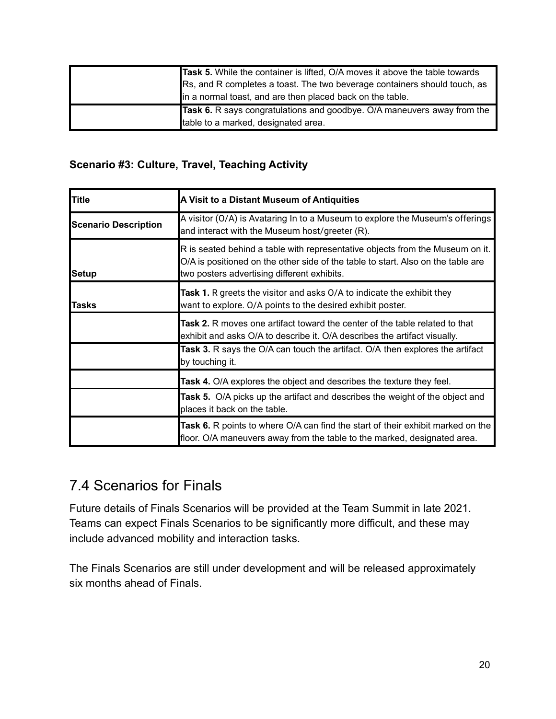|  | Task 5. While the container is lifted, O/A moves it above the table towards<br>Rs, and R completes a toast. The two beverage containers should touch, as |  |  |  |
|--|----------------------------------------------------------------------------------------------------------------------------------------------------------|--|--|--|
|  |                                                                                                                                                          |  |  |  |
|  | in a normal toast, and are then placed back on the table.                                                                                                |  |  |  |
|  | Task 6. R says congratulations and goodbye. O/A maneuvers away from the                                                                                  |  |  |  |
|  | table to a marked, designated area.                                                                                                                      |  |  |  |

#### **Scenario #3: Culture, Travel, Teaching Activity**

| Title                       | A Visit to a Distant Museum of Antiquities                                                                                                                                                                       |  |  |
|-----------------------------|------------------------------------------------------------------------------------------------------------------------------------------------------------------------------------------------------------------|--|--|
| <b>Scenario Description</b> | A visitor (O/A) is Avataring In to a Museum to explore the Museum's offerings<br>and interact with the Museum host/greeter (R).                                                                                  |  |  |
| <b>Setup</b>                | R is seated behind a table with representative objects from the Museum on it.<br>O/A is positioned on the other side of the table to start. Also on the table are<br>two posters advertising different exhibits. |  |  |
| Tasks                       | Task 1. R greets the visitor and asks O/A to indicate the exhibit they<br>want to explore. O/A points to the desired exhibit poster.                                                                             |  |  |
|                             | Task 2. R moves one artifact toward the center of the table related to that<br>exhibit and asks O/A to describe it. O/A describes the artifact visually.                                                         |  |  |
|                             | Task 3. R says the O/A can touch the artifact. O/A then explores the artifact<br>by touching it.                                                                                                                 |  |  |
|                             | Task 4. O/A explores the object and describes the texture they feel.                                                                                                                                             |  |  |
|                             | <b>Task 5.</b> O/A picks up the artifact and describes the weight of the object and<br>places it back on the table.                                                                                              |  |  |
|                             | Task 6. R points to where O/A can find the start of their exhibit marked on the<br>floor. O/A maneuvers away from the table to the marked, designated area.                                                      |  |  |

## <span id="page-19-0"></span>7.4 Scenarios for Finals

Future details of Finals Scenarios will be provided at the Team Summit in late 2021. Teams can expect Finals Scenarios to be significantly more difficult, and these may include advanced mobility and interaction tasks.

The Finals Scenarios are still under development and will be released approximately six months ahead of Finals.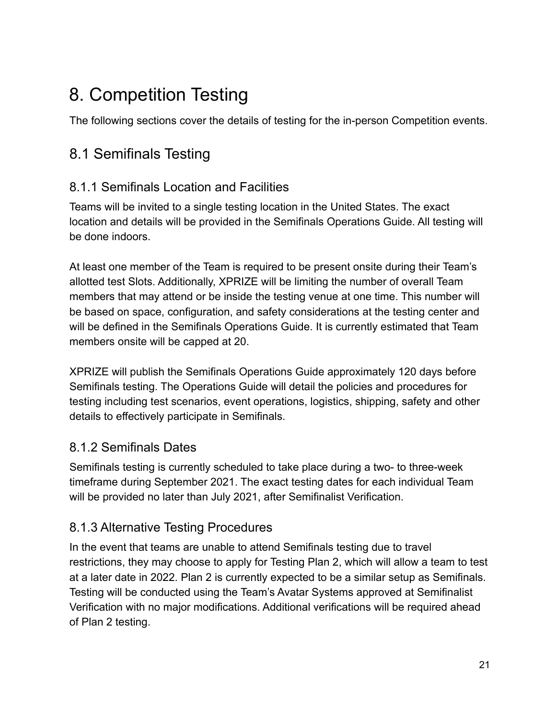# <span id="page-20-0"></span>8. Competition Testing

<span id="page-20-1"></span>The following sections cover the details of testing for the in-person Competition events.

## 8.1 Semifinals Testing

### <span id="page-20-2"></span>8.1.1 Semifinals Location and Facilities

Teams will be invited to a single testing location in the United States. The exact location and details will be provided in the Semifinals Operations Guide. All testing will be done indoors.

At least one member of the Team is required to be present onsite during their Team's allotted test Slots. Additionally, XPRIZE will be limiting the number of overall Team members that may attend or be inside the testing venue at one time. This number will be based on space, configuration, and safety considerations at the testing center and will be defined in the Semifinals Operations Guide. It is currently estimated that Team members onsite will be capped at 20.

XPRIZE will publish the Semifinals Operations Guide approximately 120 days before Semifinals testing. The Operations Guide will detail the policies and procedures for testing including test scenarios, event operations, logistics, shipping, safety and other details to effectively participate in Semifinals.

#### <span id="page-20-3"></span>8.1.2 Semifinals Dates

Semifinals testing is currently scheduled to take place during a two- to three-week timeframe during September 2021. The exact testing dates for each individual Team will be provided no later than July 2021, after Semifinalist Verification.

### <span id="page-20-4"></span>8.1.3 Alternative Testing Procedures

In the event that teams are unable to attend Semifinals testing due to travel restrictions, they may choose to apply for Testing Plan 2, which will allow a team to test at a later date in 2022. Plan 2 is currently expected to be a similar setup as Semifinals. Testing will be conducted using the Team's Avatar Systems approved at Semifinalist Verification with no major modifications. Additional verifications will be required ahead of Plan 2 testing.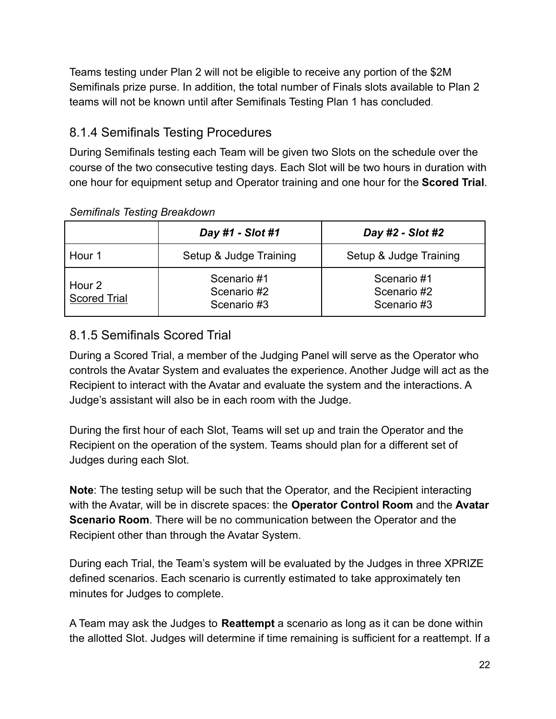Teams testing under Plan 2 will not be eligible to receive any portion of the \$2M Semifinals prize purse. In addition, the total number of Finals slots available to Plan 2 teams will not be known until after Semifinals Testing Plan 1 has concluded.

### <span id="page-21-0"></span>8.1.4 Semifinals Testing Procedures

During Semifinals testing each Team will be given two Slots on the schedule over the course of the two consecutive testing days. Each Slot will be two hours in duration with one hour for equipment setup and Operator training and one hour for the **Scored Trial**.

|                               | Day #1 - Slot #1                          | Day #2 - Slot #2                          |  |
|-------------------------------|-------------------------------------------|-------------------------------------------|--|
| Hour 1                        | Setup & Judge Training                    | Setup & Judge Training                    |  |
| Hour 2<br><b>Scored Trial</b> | Scenario #1<br>Scenario #2<br>Scenario #3 | Scenario #1<br>Scenario #2<br>Scenario #3 |  |

#### *Semifinals Testing Breakdown*

### <span id="page-21-1"></span>8.1.5 Semifinals Scored Trial

During a Scored Trial, a member of the Judging Panel will serve as the Operator who controls the Avatar System and evaluates the experience. Another Judge will act as the Recipient to interact with the Avatar and evaluate the system and the interactions. A Judge's assistant will also be in each room with the Judge.

During the first hour of each Slot, Teams will set up and train the Operator and the Recipient on the operation of the system. Teams should plan for a different set of Judges during each Slot.

**Note**: The testing setup will be such that the Operator, and the Recipient interacting with the Avatar, will be in discrete spaces: the **Operator Control Room** and the **Avatar Scenario Room**. There will be no communication between the Operator and the Recipient other than through the Avatar System.

During each Trial, the Team's system will be evaluated by the Judges in three XPRIZE defined scenarios. Each scenario is currently estimated to take approximately ten minutes for Judges to complete.

A Team may ask the Judges to **Reattempt** a scenario as long as it can be done within the allotted Slot. Judges will determine if time remaining is sufficient for a reattempt. If a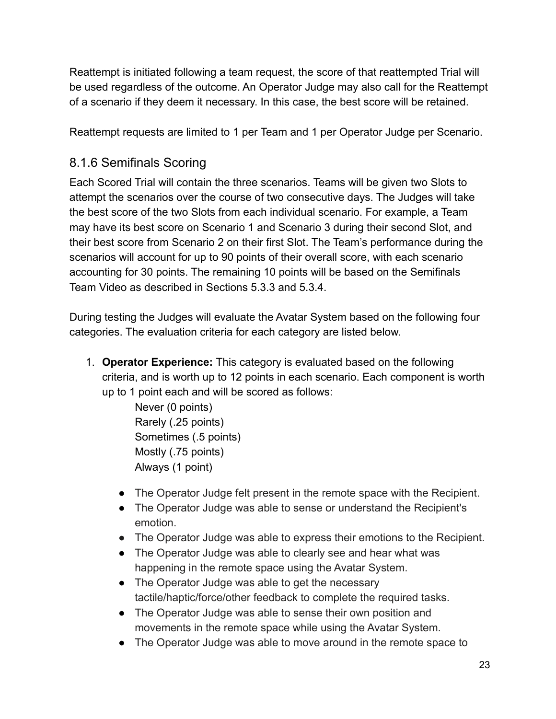Reattempt is initiated following a team request, the score of that reattempted Trial will be used regardless of the outcome. An Operator Judge may also call for the Reattempt of a scenario if they deem it necessary. In this case, the best score will be retained.

Reattempt requests are limited to 1 per Team and 1 per Operator Judge per Scenario.

### <span id="page-22-0"></span>8.1.6 Semifinals Scoring

Each Scored Trial will contain the three scenarios. Teams will be given two Slots to attempt the scenarios over the course of two consecutive days. The Judges will take the best score of the two Slots from each individual scenario. For example, a Team may have its best score on Scenario 1 and Scenario 3 during their second Slot, and their best score from Scenario 2 on their first Slot. The Team's performance during the scenarios will account for up to 90 points of their overall score, with each scenario accounting for 30 points. The remaining 10 points will be based on the Semifinals Team Video as described in Sections 5.3.3 and 5.3.4.

During testing the Judges will evaluate the Avatar System based on the following four categories. The evaluation criteria for each category are listed below.

1. **Operator Experience:** This category is evaluated based on the following criteria, and is worth up to 12 points in each scenario. Each component is worth up to 1 point each and will be scored as follows:

> Never (0 points) Rarely (.25 points) Sometimes (.5 points) Mostly (.75 points) Always (1 point)

- The Operator Judge felt present in the remote space with the Recipient.
- The Operator Judge was able to sense or understand the Recipient's emotion.
- The Operator Judge was able to express their emotions to the Recipient.
- The Operator Judge was able to clearly see and hear what was happening in the remote space using the Avatar System.
- The Operator Judge was able to get the necessary tactile/haptic/force/other feedback to complete the required tasks.
- The Operator Judge was able to sense their own position and movements in the remote space while using the Avatar System.
- The Operator Judge was able to move around in the remote space to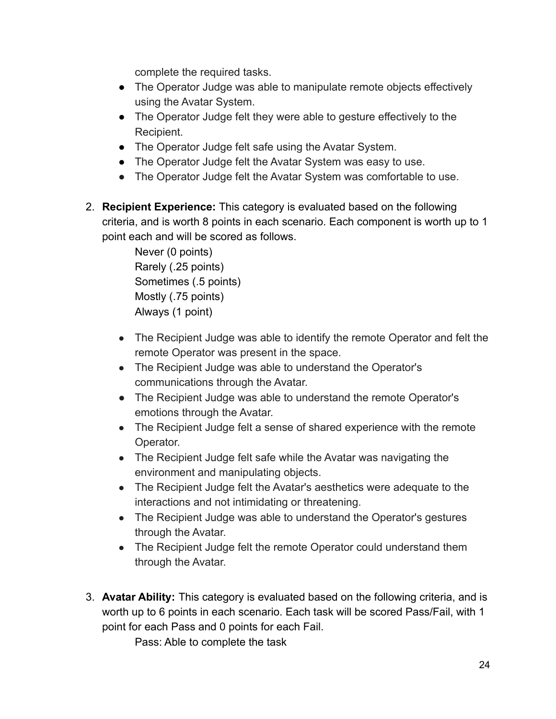complete the required tasks.

- The Operator Judge was able to manipulate remote objects effectively using the Avatar System.
- The Operator Judge felt they were able to gesture effectively to the Recipient.
- The Operator Judge felt safe using the Avatar System.
- The Operator Judge felt the Avatar System was easy to use.
- The Operator Judge felt the Avatar System was comfortable to use.
- 2. **Recipient Experience:** This category is evaluated based on the following criteria, and is worth 8 points in each scenario. Each component is worth up to 1 point each and will be scored as follows.

Never (0 points) Rarely (.25 points) Sometimes (.5 points) Mostly (.75 points) Always (1 point)

- The Recipient Judge was able to identify the remote Operator and felt the remote Operator was present in the space.
- The Recipient Judge was able to understand the Operator's communications through the Avatar.
- The Recipient Judge was able to understand the remote Operator's emotions through the Avatar.
- The Recipient Judge felt a sense of shared experience with the remote Operator.
- The Recipient Judge felt safe while the Avatar was navigating the environment and manipulating objects.
- The Recipient Judge felt the Avatar's aesthetics were adequate to the interactions and not intimidating or threatening.
- The Recipient Judge was able to understand the Operator's gestures through the Avatar.
- The Recipient Judge felt the remote Operator could understand them through the Avatar.
- 3. **Avatar Ability:** This category is evaluated based on the following criteria, and is worth up to 6 points in each scenario. Each task will be scored Pass/Fail, with 1 point for each Pass and 0 points for each Fail.

Pass: Able to complete the task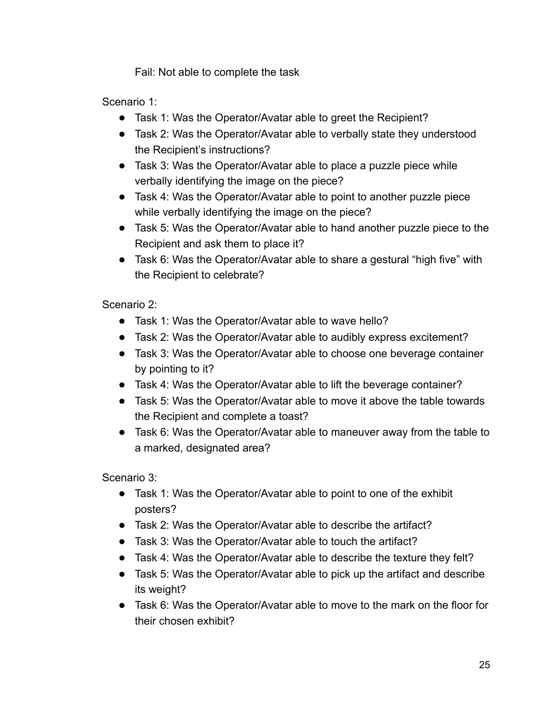Fail: Not able to complete the task

Scenario 1:

- Task 1: Was the Operator/Avatar able to greet the Recipient?
- Task 2: Was the Operator/Avatar able to verbally state they understood the Recipient's instructions?
- Task 3: Was the Operator/Avatar able to place a puzzle piece while verbally identifying the image on the piece?
- Task 4: Was the Operator/Avatar able to point to another puzzle piece while verbally identifying the image on the piece?
- Task 5: Was the Operator/Avatar able to hand another puzzle piece to the Recipient and ask them to place it?
- Task 6: Was the Operator/Avatar able to share a gestural "high five" with the Recipient to celebrate?

Scenario 2:

- Task 1: Was the Operator/Avatar able to wave hello?
- Task 2: Was the Operator/Avatar able to audibly express excitement?
- Task 3: Was the Operator/Avatar able to choose one beverage container by pointing to it?
- Task 4: Was the Operator/Avatar able to lift the beverage container?
- Task 5: Was the Operator/Avatar able to move it above the table towards the Recipient and complete a toast?
- Task 6: Was the Operator/Avatar able to maneuver away from the table to a marked, designated area?

Scenario 3:

- Task 1: Was the Operator/Avatar able to point to one of the exhibit posters?
- Task 2: Was the Operator/Avatar able to describe the artifact?
- Task 3: Was the Operator/Avatar able to touch the artifact?
- Task 4: Was the Operator/Avatar able to describe the texture they felt?
- Task 5: Was the Operator/Avatar able to pick up the artifact and describe its weight?
- Task 6: Was the Operator/Avatar able to move to the mark on the floor for their chosen exhibit?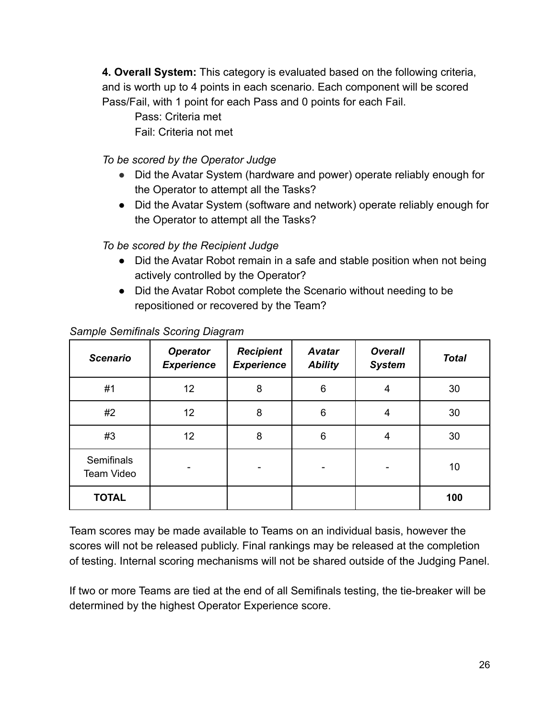**4. Overall System:** This category is evaluated based on the following criteria, and is worth up to 4 points in each scenario. Each component will be scored Pass/Fail, with 1 point for each Pass and 0 points for each Fail.

Pass: Criteria met Fail: Criteria not met

*To be scored by the Operator Judge*

- Did the Avatar System (hardware and power) operate reliably enough for the Operator to attempt all the Tasks?
- Did the Avatar System (software and network) operate reliably enough for the Operator to attempt all the Tasks?

*To be scored by the Recipient Judge*

- Did the Avatar Robot remain in a safe and stable position when not being actively controlled by the Operator?
- Did the Avatar Robot complete the Scenario without needing to be repositioned or recovered by the Team?

| <b>Scenario</b>          | <b>Operator</b><br><b>Experience</b> | <b>Recipient</b><br><b>Experience</b> | <b>Avatar</b><br><b>Ability</b> | <b>Overall</b><br><b>System</b> | <b>Total</b> |
|--------------------------|--------------------------------------|---------------------------------------|---------------------------------|---------------------------------|--------------|
| #1                       | 12                                   | 8                                     | 6                               | 4                               | 30           |
| #2                       | 12 <sub>2</sub>                      | 8                                     | $6\phantom{1}6$                 | 4                               | 30           |
| #3                       | 12 <sub>2</sub>                      | 8                                     | 6                               | 4                               | 30           |
| Semifinals<br>Team Video |                                      |                                       |                                 |                                 | 10           |
| <b>TOTAL</b>             |                                      |                                       |                                 |                                 | 100          |

#### *Sample Semifinals Scoring Diagram*

Team scores may be made available to Teams on an individual basis, however the scores will not be released publicly. Final rankings may be released at the completion of testing. Internal scoring mechanisms will not be shared outside of the Judging Panel.

If two or more Teams are tied at the end of all Semifinals testing, the tie-breaker will be determined by the highest Operator Experience score.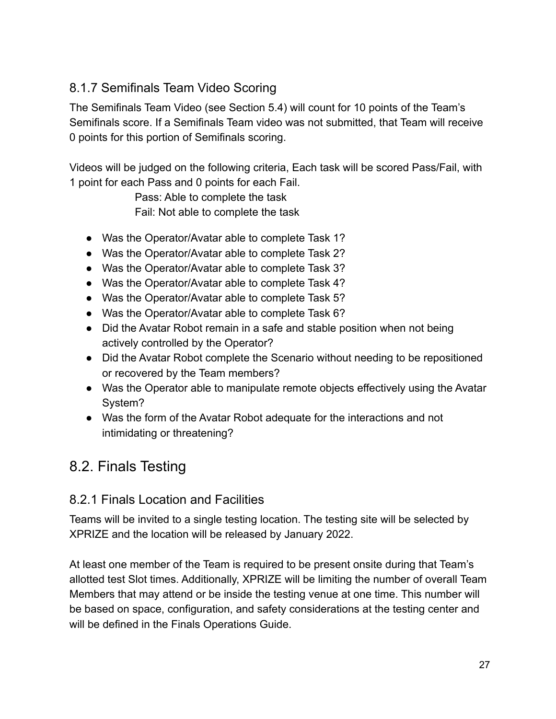#### <span id="page-26-0"></span>8.1.7 Semifinals Team Video Scoring

The Semifinals Team Video (see Section 5.4) will count for 10 points of the Team's Semifinals score. If a Semifinals Team video was not submitted, that Team will receive 0 points for this portion of Semifinals scoring.

Videos will be judged on the following criteria, Each task will be scored Pass/Fail, with 1 point for each Pass and 0 points for each Fail.

> Pass: Able to complete the task Fail: Not able to complete the task

- Was the Operator/Avatar able to complete Task 1?
- Was the Operator/Avatar able to complete Task 2?
- Was the Operator/Avatar able to complete Task 3?
- Was the Operator/Avatar able to complete Task 4?
- Was the Operator/Avatar able to complete Task 5?
- Was the Operator/Avatar able to complete Task 6?
- Did the Avatar Robot remain in a safe and stable position when not being actively controlled by the Operator?
- Did the Avatar Robot complete the Scenario without needing to be repositioned or recovered by the Team members?
- Was the Operator able to manipulate remote objects effectively using the Avatar System?
- Was the form of the Avatar Robot adequate for the interactions and not intimidating or threatening?

### <span id="page-26-1"></span>8.2. Finals Testing

#### <span id="page-26-2"></span>8.2.1 Finals Location and Facilities

Teams will be invited to a single testing location. The testing site will be selected by XPRIZE and the location will be released by January 2022.

At least one member of the Team is required to be present onsite during that Team's allotted test Slot times. Additionally, XPRIZE will be limiting the number of overall Team Members that may attend or be inside the testing venue at one time. This number will be based on space, configuration, and safety considerations at the testing center and will be defined in the Finals Operations Guide.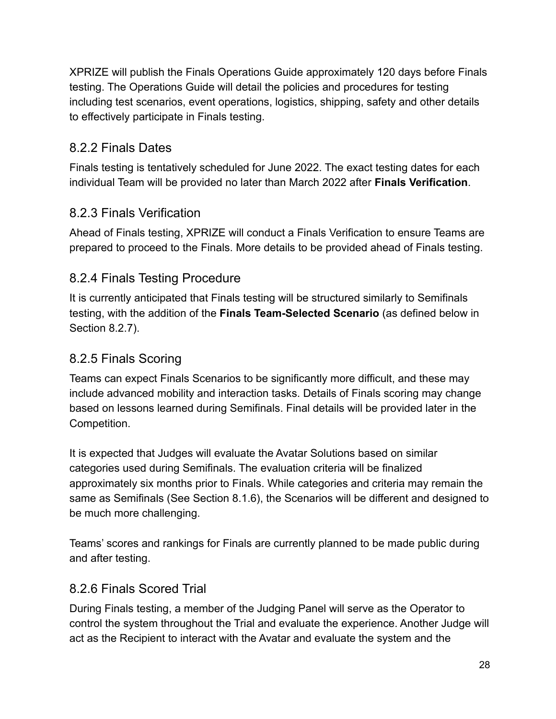XPRIZE will publish the Finals Operations Guide approximately 120 days before Finals testing. The Operations Guide will detail the policies and procedures for testing including test scenarios, event operations, logistics, shipping, safety and other details to effectively participate in Finals testing.

#### <span id="page-27-0"></span>8.2.2 Finals Dates

Finals testing is tentatively scheduled for June 2022. The exact testing dates for each individual Team will be provided no later than March 2022 after **Finals Verification**.

### <span id="page-27-1"></span>8.2.3 Finals Verification

Ahead of Finals testing, XPRIZE will conduct a Finals Verification to ensure Teams are prepared to proceed to the Finals. More details to be provided ahead of Finals testing.

### <span id="page-27-2"></span>8.2.4 Finals Testing Procedure

It is currently anticipated that Finals testing will be structured similarly to Semifinals testing, with the addition of the **Finals Team-Selected Scenario** (as defined below in Section 8.2.7).

#### <span id="page-27-3"></span>8.2.5 Finals Scoring

Teams can expect Finals Scenarios to be significantly more difficult, and these may include advanced mobility and interaction tasks. Details of Finals scoring may change based on lessons learned during Semifinals. Final details will be provided later in the Competition.

It is expected that Judges will evaluate the Avatar Solutions based on similar categories used during Semifinals. The evaluation criteria will be finalized approximately six months prior to Finals. While categories and criteria may remain the same as Semifinals (See Section 8.1.6), the Scenarios will be different and designed to be much more challenging.

Teams' scores and rankings for Finals are currently planned to be made public during and after testing.

### <span id="page-27-4"></span>8.2.6 Finals Scored Trial

During Finals testing, a member of the Judging Panel will serve as the Operator to control the system throughout the Trial and evaluate the experience. Another Judge will act as the Recipient to interact with the Avatar and evaluate the system and the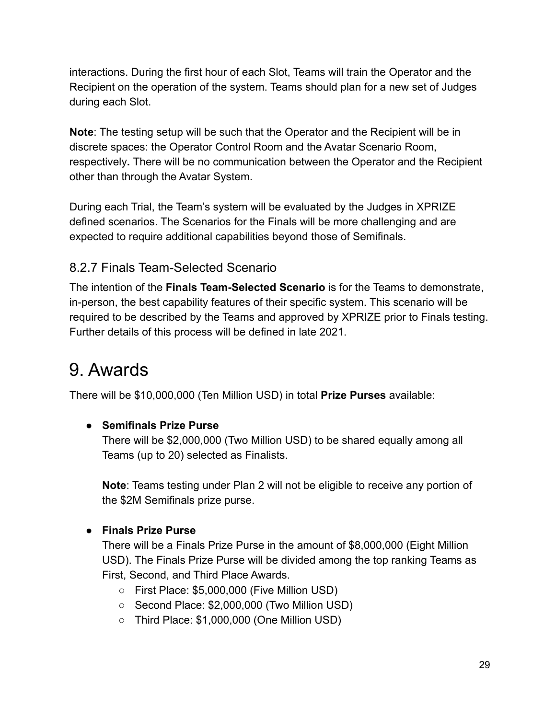interactions. During the first hour of each Slot, Teams will train the Operator and the Recipient on the operation of the system. Teams should plan for a new set of Judges during each Slot.

**Note**: The testing setup will be such that the Operator and the Recipient will be in discrete spaces: the Operator Control Room and the Avatar Scenario Room, respectively**.** There will be no communication between the Operator and the Recipient other than through the Avatar System.

During each Trial, the Team's system will be evaluated by the Judges in XPRIZE defined scenarios. The Scenarios for the Finals will be more challenging and are expected to require additional capabilities beyond those of Semifinals.

#### <span id="page-28-0"></span>8.2.7 Finals Team-Selected Scenario

The intention of the **Finals Team-Selected Scenario** is for the Teams to demonstrate, in-person, the best capability features of their specific system. This scenario will be required to be described by the Teams and approved by XPRIZE prior to Finals testing. Further details of this process will be defined in late 2021.

# <span id="page-28-1"></span>9. Awards

There will be \$10,000,000 (Ten Million USD) in total **Prize Purses** available:

#### **● Semifinals Prize Purse**

There will be \$2,000,000 (Two Million USD) to be shared equally among all Teams (up to 20) selected as Finalists.

**Note**: Teams testing under Plan 2 will not be eligible to receive any portion of the \$2M Semifinals prize purse.

#### **● Finals Prize Purse**

There will be a Finals Prize Purse in the amount of \$8,000,000 (Eight Million USD). The Finals Prize Purse will be divided among the top ranking Teams as First, Second, and Third Place Awards.

- First Place: \$5,000,000 (Five Million USD)
- Second Place: \$2,000,000 (Two Million USD)
- Third Place: \$1,000,000 (One Million USD)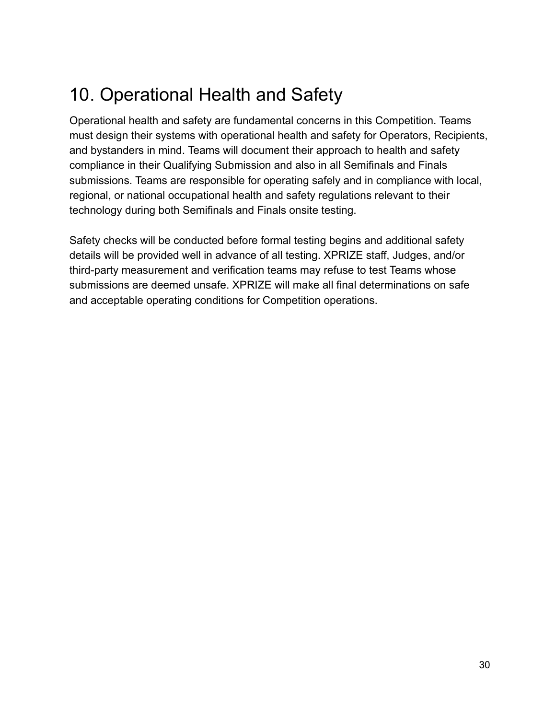# <span id="page-29-0"></span>10. Operational Health and Safety

Operational health and safety are fundamental concerns in this Competition. Teams must design their systems with operational health and safety for Operators, Recipients, and bystanders in mind. Teams will document their approach to health and safety compliance in their Qualifying Submission and also in all Semifinals and Finals submissions. Teams are responsible for operating safely and in compliance with local, regional, or national occupational health and safety regulations relevant to their technology during both Semifinals and Finals onsite testing.

Safety checks will be conducted before formal testing begins and additional safety details will be provided well in advance of all testing. XPRIZE staff, Judges, and/or third-party measurement and verification teams may refuse to test Teams whose submissions are deemed unsafe. XPRIZE will make all final determinations on safe and acceptable operating conditions for Competition operations.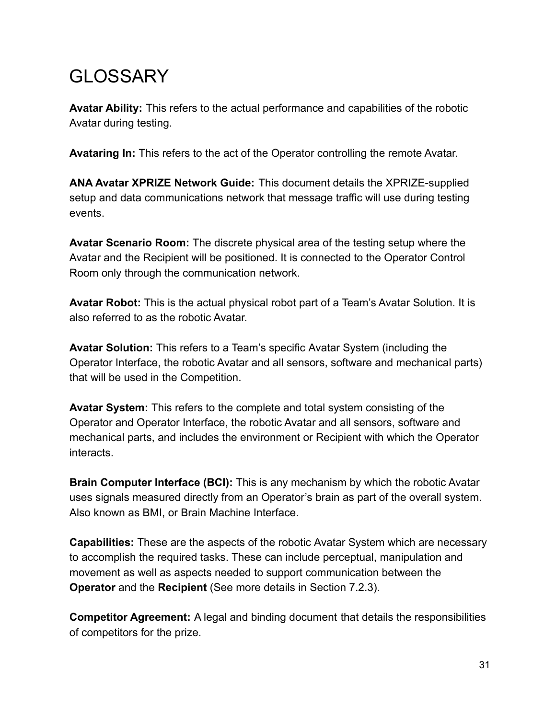# <span id="page-30-0"></span>**GLOSSARY**

**Avatar Ability:** This refers to the actual performance and capabilities of the robotic Avatar during testing.

**Avataring In:** This refers to the act of the Operator controlling the remote Avatar.

**ANA Avatar XPRIZE Network Guide:** This document details the XPRIZE-supplied setup and data communications network that message traffic will use during testing events.

**Avatar Scenario Room:** The discrete physical area of the testing setup where the Avatar and the Recipient will be positioned. It is connected to the Operator Control Room only through the communication network.

**Avatar Robot:** This is the actual physical robot part of a Team's Avatar Solution. It is also referred to as the robotic Avatar.

**Avatar Solution:** This refers to a Team's specific Avatar System (including the Operator Interface, the robotic Avatar and all sensors, software and mechanical parts) that will be used in the Competition.

**Avatar System:** This refers to the complete and total system consisting of the Operator and Operator Interface, the robotic Avatar and all sensors, software and mechanical parts, and includes the environment or Recipient with which the Operator interacts.

**Brain Computer Interface (BCI):** This is any mechanism by which the robotic Avatar uses signals measured directly from an Operator's brain as part of the overall system. Also known as BMI, or Brain Machine Interface.

**Capabilities:** These are the aspects of the robotic Avatar System which are necessary to accomplish the required tasks. These can include perceptual, manipulation and movement as well as aspects needed to support communication between the **Operator** and the **Recipient** (See more details in Section 7.2.3).

**Competitor Agreement:** A legal and binding document that details the responsibilities of competitors for the prize.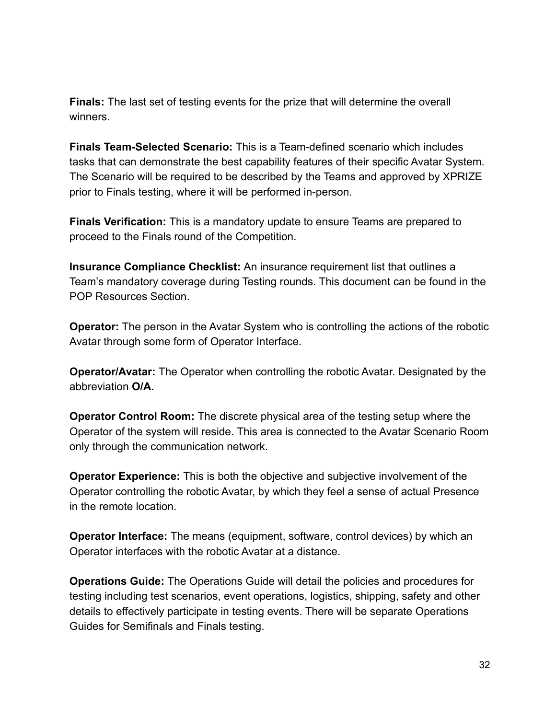**Finals:** The last set of testing events for the prize that will determine the overall winners.

**Finals Team-Selected Scenario:** This is a Team-defined scenario which includes tasks that can demonstrate the best capability features of their specific Avatar System. The Scenario will be required to be described by the Teams and approved by XPRIZE prior to Finals testing, where it will be performed in-person.

**Finals Verification:** This is a mandatory update to ensure Teams are prepared to proceed to the Finals round of the Competition.

**Insurance Compliance Checklist:** An insurance requirement list that outlines a Team's mandatory coverage during Testing rounds. This document can be found in the POP Resources Section.

**Operator:** The person in the Avatar System who is controlling the actions of the robotic Avatar through some form of Operator Interface.

**Operator/Avatar:** The Operator when controlling the robotic Avatar. Designated by the abbreviation **O/A.**

**Operator Control Room:** The discrete physical area of the testing setup where the Operator of the system will reside. This area is connected to the Avatar Scenario Room only through the communication network.

**Operator Experience:** This is both the objective and subjective involvement of the Operator controlling the robotic Avatar, by which they feel a sense of actual Presence in the remote location.

**Operator Interface:** The means (equipment, software, control devices) by which an Operator interfaces with the robotic Avatar at a distance.

**Operations Guide:** The Operations Guide will detail the policies and procedures for testing including test scenarios, event operations, logistics, shipping, safety and other details to effectively participate in testing events. There will be separate Operations Guides for Semifinals and Finals testing.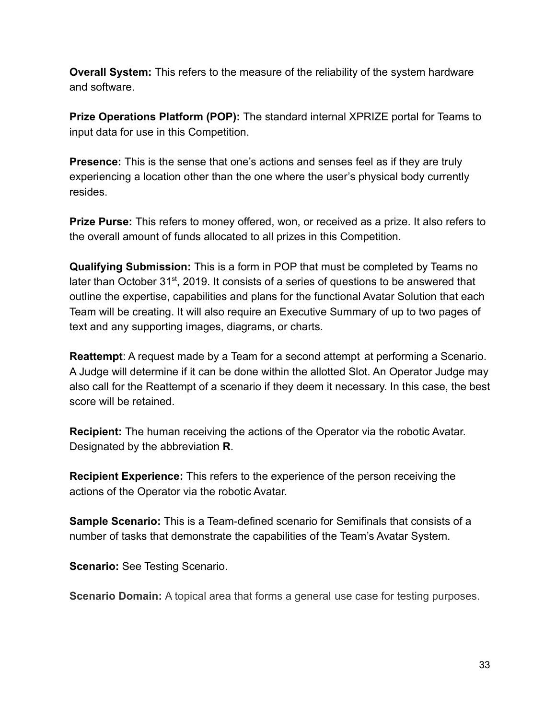**Overall System:** This refers to the measure of the reliability of the system hardware and software.

**Prize Operations Platform (POP):** The standard internal XPRIZE portal for Teams to input data for use in this Competition.

**Presence:** This is the sense that one's actions and senses feel as if they are truly experiencing a location other than the one where the user's physical body currently resides.

**Prize Purse:** This refers to money offered, won, or received as a prize. It also refers to the overall amount of funds allocated to all prizes in this Competition.

**Qualifying Submission:** This is a form in POP that must be completed by Teams no later than October 31<sup>st</sup>, 2019. It consists of a series of questions to be answered that outline the expertise, capabilities and plans for the functional Avatar Solution that each Team will be creating. It will also require an Executive Summary of up to two pages of text and any supporting images, diagrams, or charts.

**Reattempt**: A request made by a Team for a second attempt at performing a Scenario. A Judge will determine if it can be done within the allotted Slot. An Operator Judge may also call for the Reattempt of a scenario if they deem it necessary. In this case, the best score will be retained.

**Recipient:** The human receiving the actions of the Operator via the robotic Avatar. Designated by the abbreviation **R**.

**Recipient Experience:** This refers to the experience of the person receiving the actions of the Operator via the robotic Avatar.

**Sample Scenario:** This is a Team-defined scenario for Semifinals that consists of a number of tasks that demonstrate the capabilities of the Team's Avatar System.

**Scenario:** See Testing Scenario.

**Scenario Domain:** A topical area that forms a general use case for testing purposes.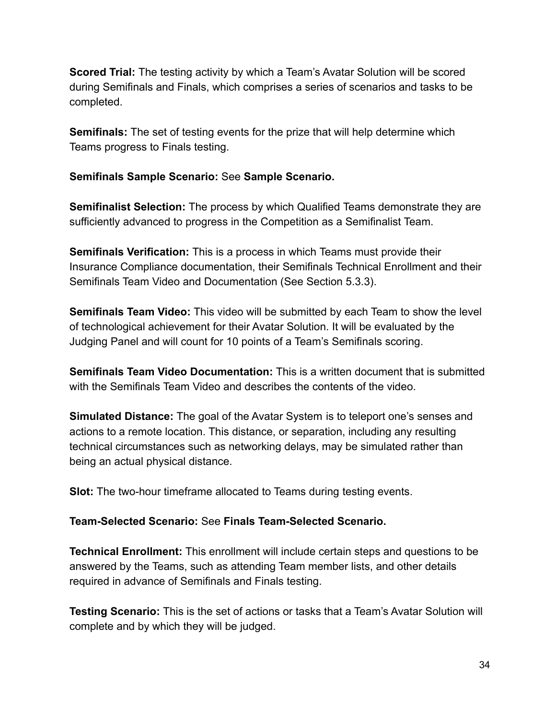**Scored Trial:** The testing activity by which a Team's Avatar Solution will be scored during Semifinals and Finals, which comprises a series of scenarios and tasks to be completed.

**Semifinals:** The set of testing events for the prize that will help determine which Teams progress to Finals testing.

#### **Semifinals Sample Scenario:** See **Sample Scenario.**

**Semifinalist Selection:** The process by which Qualified Teams demonstrate they are sufficiently advanced to progress in the Competition as a Semifinalist Team.

**Semifinals Verification:** This is a process in which Teams must provide their Insurance Compliance documentation, their Semifinals Technical Enrollment and their Semifinals Team Video and Documentation (See Section 5.3.3).

**Semifinals Team Video:** This video will be submitted by each Team to show the level of technological achievement for their Avatar Solution. It will be evaluated by the Judging Panel and will count for 10 points of a Team's Semifinals scoring.

**Semifinals Team Video Documentation:** This is a written document that is submitted with the Semifinals Team Video and describes the contents of the video.

**Simulated Distance:** The goal of the Avatar System is to teleport one's senses and actions to a remote location. This distance, or separation, including any resulting technical circumstances such as networking delays, may be simulated rather than being an actual physical distance.

**Slot:** The two-hour timeframe allocated to Teams during testing events.

#### **Team-Selected Scenario:** See **Finals Team-Selected Scenario.**

**Technical Enrollment:** This enrollment will include certain steps and questions to be answered by the Teams, such as attending Team member lists, and other details required in advance of Semifinals and Finals testing.

**Testing Scenario:** This is the set of actions or tasks that a Team's Avatar Solution will complete and by which they will be judged.